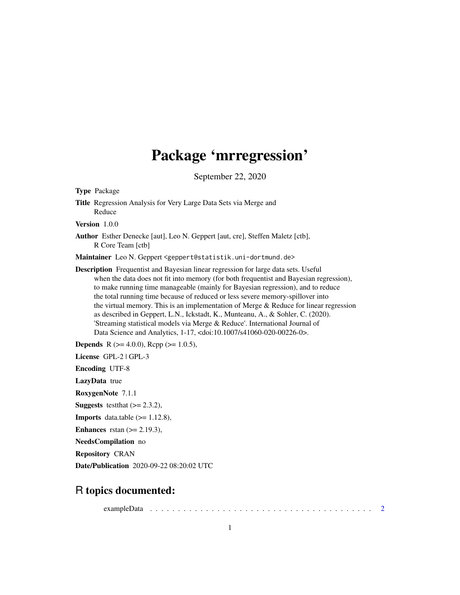## Package 'mrregression'

September 22, 2020

<span id="page-0-0"></span>

| <b>Type Package</b>                                                                                                                                                                                                                                                                                                                                                                                                                                                                                                                                                                                                                                                                                            |
|----------------------------------------------------------------------------------------------------------------------------------------------------------------------------------------------------------------------------------------------------------------------------------------------------------------------------------------------------------------------------------------------------------------------------------------------------------------------------------------------------------------------------------------------------------------------------------------------------------------------------------------------------------------------------------------------------------------|
| Title Regression Analysis for Very Large Data Sets via Merge and<br>Reduce                                                                                                                                                                                                                                                                                                                                                                                                                                                                                                                                                                                                                                     |
| Version 1.0.0                                                                                                                                                                                                                                                                                                                                                                                                                                                                                                                                                                                                                                                                                                  |
| <b>Author</b> Esther Denecke [aut], Leo N. Geppert [aut, cre], Steffen Maletz [ctb],<br>R Core Team [ctb]                                                                                                                                                                                                                                                                                                                                                                                                                                                                                                                                                                                                      |
| Maintainer Leo N. Geppert <geppert@statistik.uni-dortmund.de></geppert@statistik.uni-dortmund.de>                                                                                                                                                                                                                                                                                                                                                                                                                                                                                                                                                                                                              |
| <b>Description</b> Frequentist and Bayesian linear regression for large data sets. Useful<br>when the data does not fit into memory (for both frequentist and Bayesian regression),<br>to make running time manageable (mainly for Bayesian regression), and to reduce<br>the total running time because of reduced or less severe memory-spillover into<br>the virtual memory. This is an implementation of Merge $\&$ Reduce for linear regression<br>as described in Geppert, L.N., Ickstadt, K., Munteanu, A., & Sohler, C. (2020).<br>'Streaming statistical models via Merge & Reduce'. International Journal of<br>Data Science and Analytics, 1-17, <doi:10.1007 s41060-020-00226-0="">.</doi:10.1007> |
| <b>Depends</b> R ( $>= 4.0.0$ ), Rcpp ( $>= 1.0.5$ ),                                                                                                                                                                                                                                                                                                                                                                                                                                                                                                                                                                                                                                                          |
| License GPL-2   GPL-3                                                                                                                                                                                                                                                                                                                                                                                                                                                                                                                                                                                                                                                                                          |
| <b>Encoding UTF-8</b>                                                                                                                                                                                                                                                                                                                                                                                                                                                                                                                                                                                                                                                                                          |
| <b>LazyData</b> true                                                                                                                                                                                                                                                                                                                                                                                                                                                                                                                                                                                                                                                                                           |
| RoxygenNote 7.1.1                                                                                                                                                                                                                                                                                                                                                                                                                                                                                                                                                                                                                                                                                              |
| <b>Suggests</b> test that $(>= 2.3.2)$ ,                                                                                                                                                                                                                                                                                                                                                                                                                                                                                                                                                                                                                                                                       |
| <b>Imports</b> data.table $(>= 1.12.8)$ ,                                                                                                                                                                                                                                                                                                                                                                                                                                                                                                                                                                                                                                                                      |
| <b>Enhances</b> rstan $(>= 2.19.3)$ ,                                                                                                                                                                                                                                                                                                                                                                                                                                                                                                                                                                                                                                                                          |
| NeedsCompilation no                                                                                                                                                                                                                                                                                                                                                                                                                                                                                                                                                                                                                                                                                            |
| <b>Repository CRAN</b>                                                                                                                                                                                                                                                                                                                                                                                                                                                                                                                                                                                                                                                                                         |
| <b>Date/Publication</b> 2020-09-22 08:20:02 UTC                                                                                                                                                                                                                                                                                                                                                                                                                                                                                                                                                                                                                                                                |
|                                                                                                                                                                                                                                                                                                                                                                                                                                                                                                                                                                                                                                                                                                                |

### R topics documented:

exampleData . . . . . . . . . . . . . . . . . . . . . . . . . . . . . . . . . . . . . . . . [2](#page-1-0)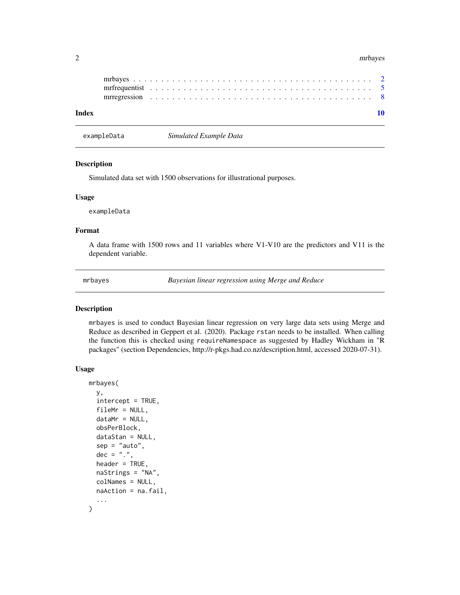#### <span id="page-1-0"></span>2 mrbayes and the contract of the contract of the contract of the contract of the contract of the contract of the contract of the contract of the contract of the contract of the contract of the contract of the contract of

exampleData *Simulated Example Data*

#### Description

Simulated data set with 1500 observations for illustrational purposes.

#### Usage

exampleData

#### Format

A data frame with 1500 rows and 11 variables where V1-V10 are the predictors and V11 is the dependent variable.

<span id="page-1-1"></span>mrbayes *Bayesian linear regression using Merge and Reduce*

#### Description

mrbayes is used to conduct Bayesian linear regression on very large data sets using Merge and Reduce as described in Geppert et al. (2020). Package rstan needs to be installed. When calling the function this is checked using requireNamespace as suggested by Hadley Wickham in "R packages" (section Dependencies, http://r-pkgs.had.co.nz/description.html, accessed 2020-07-31).

#### Usage

```
mrbayes(
 y,
  intercept = TRUE,
  fileMr = NULL,
 dataMr = NULL,
  obsPerBlock,
  dataStan = NULL,
  sep = "auto",dec = "."header = TRUE,
 naStrings = "NA",
  colNames = NULL,
 naAction = na.fail,
  ...
)
```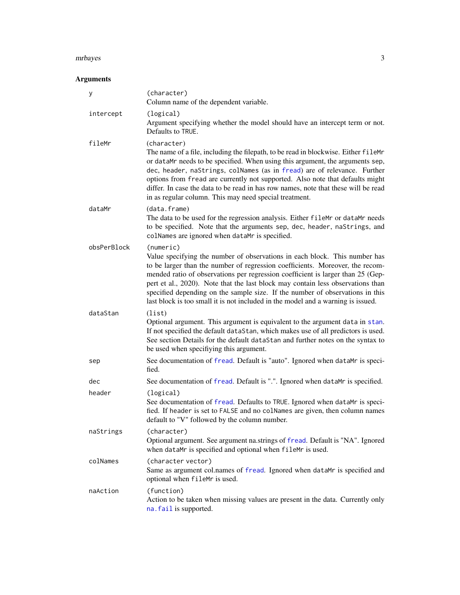#### <span id="page-2-0"></span>mrbayes 3

### Arguments

| у           | (character)<br>Column name of the dependent variable.                                                                                                                                                                                                                                                                                                                                                                                                                                                               |  |  |
|-------------|---------------------------------------------------------------------------------------------------------------------------------------------------------------------------------------------------------------------------------------------------------------------------------------------------------------------------------------------------------------------------------------------------------------------------------------------------------------------------------------------------------------------|--|--|
| intercept   | (logical)<br>Argument specifying whether the model should have an intercept term or not.<br>Defaults to TRUE.                                                                                                                                                                                                                                                                                                                                                                                                       |  |  |
| fileMr      | (character)<br>The name of a file, including the filepath, to be read in blockwise. Either fileMr<br>or dataMr needs to be specified. When using this argument, the arguments sep,<br>dec, header, naStrings, colNames (as in fread) are of relevance. Further<br>options from fread are currently not supported. Also note that defaults might<br>differ. In case the data to be read in has row names, note that these will be read<br>in as regular column. This may need special treatment.                     |  |  |
| dataMr      | (data.frame)<br>The data to be used for the regression analysis. Either fileMr or dataMr needs<br>to be specified. Note that the arguments sep, dec, header, naStrings, and<br>colNames are ignored when dataMr is specified.                                                                                                                                                                                                                                                                                       |  |  |
| obsPerBlock | (numeric)<br>Value specifying the number of observations in each block. This number has<br>to be larger than the number of regression coefficients. Moreover, the recom-<br>mended ratio of observations per regression coefficient is larger than 25 (Gep-<br>pert et al., 2020). Note that the last block may contain less observations than<br>specified depending on the sample size. If the number of observations in this<br>last block is too small it is not included in the model and a warning is issued. |  |  |
| dataStan    | (list)<br>Optional argument. This argument is equivalent to the argument data in stan.<br>If not specified the default dataStan, which makes use of all predictors is used.<br>See section Details for the default dataStan and further notes on the syntax to<br>be used when specifiying this argument.                                                                                                                                                                                                           |  |  |
| sep         | See documentation of fread. Default is "auto". Ignored when dataMr is speci-<br>fied.                                                                                                                                                                                                                                                                                                                                                                                                                               |  |  |
| dec         | See documentation of fread. Default is ".". Ignored when dataMr is specified.                                                                                                                                                                                                                                                                                                                                                                                                                                       |  |  |
| header      | (logical)<br>See documentation of fread. Defaults to TRUE. Ignored when dataMr is speci-<br>fied. If header is set to FALSE and no colNames are given, then column names<br>default to "V" followed by the column number.                                                                                                                                                                                                                                                                                           |  |  |
| naStrings   | (character)<br>Optional argument. See argument na.strings of fread. Default is "NA". Ignored<br>when dataMr is specified and optional when fileMr is used.                                                                                                                                                                                                                                                                                                                                                          |  |  |
| colNames    | (character vector)<br>Same as argument col.names of fread. Ignored when dataMr is specified and<br>optional when fileMr is used.                                                                                                                                                                                                                                                                                                                                                                                    |  |  |
| naAction    | (function)<br>Action to be taken when missing values are present in the data. Currently only<br>na. fail is supported.                                                                                                                                                                                                                                                                                                                                                                                              |  |  |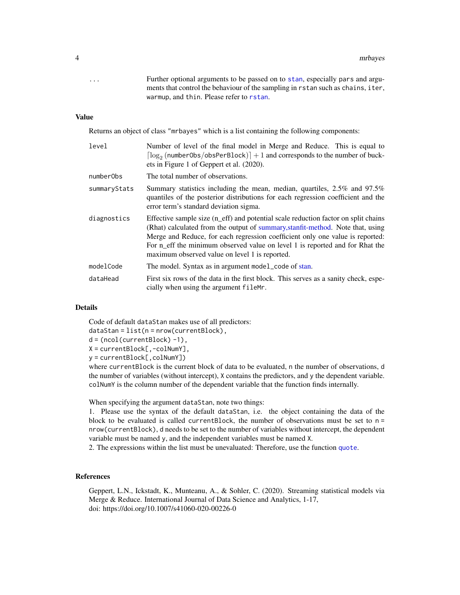<span id="page-3-0"></span>... Further optional arguments to be passed on to [stan](#page-0-0), especially pars and arguments that control the behaviour of the sampling in rstan such as chains, iter, warmup, and thin. Please refer to [rstan](#page-0-0).

#### Value

Returns an object of class "mrbayes" which is a list containing the following components:

| level        | Number of level of the final model in Merge and Reduce. This is equal to<br>$\lceil \log_2(n$ umberObs/obsPerBlock) $\rceil + 1$ and corresponds to the number of buck-<br>ets in Figure 1 of Geppert et al. (2020).                                                                                                                                                                    |  |  |
|--------------|-----------------------------------------------------------------------------------------------------------------------------------------------------------------------------------------------------------------------------------------------------------------------------------------------------------------------------------------------------------------------------------------|--|--|
| numberObs    | The total number of observations.                                                                                                                                                                                                                                                                                                                                                       |  |  |
| summaryStats | Summary statistics including the mean, median, quartiles, $2.5\%$ and $97.5\%$<br>quantiles of the posterior distributions for each regression coefficient and the<br>error term's standard deviation sigma.                                                                                                                                                                            |  |  |
| diagnostics  | Effective sample size (n_eff) and potential scale reduction factor on split chains<br>(Rhat) calculated from the output of summary, stanfit-method. Note that, using<br>Merge and Reduce, for each regression coefficient only one value is reported:<br>For n_eff the minimum observed value on level 1 is reported and for Rhat the<br>maximum observed value on level 1 is reported. |  |  |
| modelCode    | The model. Syntax as in argument model_code of stan.                                                                                                                                                                                                                                                                                                                                    |  |  |
| dataHead     | First six rows of the data in the first block. This serves as a sanity check, espe-<br>cially when using the argument fileMr.                                                                                                                                                                                                                                                           |  |  |

#### Details

Code of default dataStan makes use of all predictors:

dataStan = list(n = nrow(currentBlock),

```
d = (ncol(currentBlock) -1),
```
X = currentBlock[,-colNumY],

y = currentBlock[,colNumY])

where currentBlock is the current block of data to be evaluated, n the number of observations, d the number of variables (without intercept), X contains the predictors, and y the dependent variable. colNumY is the column number of the dependent variable that the function finds internally.

When specifying the argument dataStan, note two things:

1. Please use the syntax of the default dataStan, i.e. the object containing the data of the block to be evaluated is called currentBlock, the number of observations must be set to  $n =$ nrow(currentBlock), d needs to be set to the number of variables without intercept, the dependent variable must be named y, and the independent variables must be named X.

2. The expressions within the list must be unevaluated: Therefore, use the function [quote](#page-0-0).

#### References

Geppert, L.N., Ickstadt, K., Munteanu, A., & Sohler, C. (2020). Streaming statistical models via Merge & Reduce. International Journal of Data Science and Analytics, 1-17, doi: https://doi.org/10.1007/s41060-020-00226-0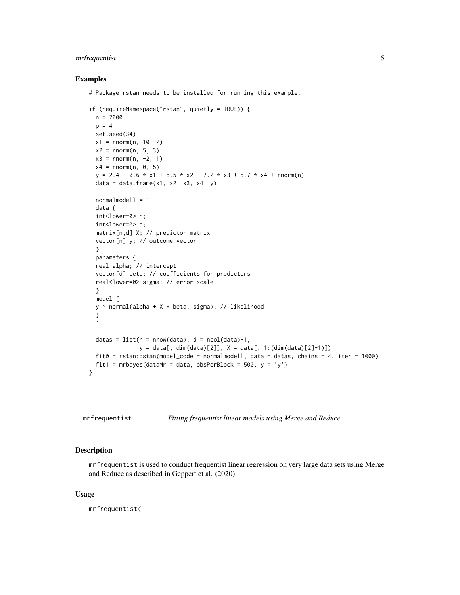#### <span id="page-4-0"></span>mrfrequentist 5

#### Examples

# Package rstan needs to be installed for running this example.

```
if (requireNamespace("rstan", quietly = TRUE)) {
 n = 2000p = 4set.seed(34)
 x1 = rnorm(n, 10, 2)x2 = rnorm(n, 5, 3)x3 = rnorm(n, -2, 1)x4 = rnorm(n, 0, 5)y = 2.4 - 0.6 \times x1 + 5.5 \times x2 - 7.2 \times x3 + 5.7 \times x4 + \text{rnorm(n)}data = data.frame(x1, x2, x3, x4, y)normalmodell = '
 data {
 int<lower=0> n;
 int<lower=0> d;
 matrix[n,d] X; // predictor matrix
 vector[n] y; // outcome vector
 }
 parameters {
 real alpha; // intercept
 vector[d] beta; // coefficients for predictors
 real<lower=0> sigma; // error scale
 }
 model {
 y \sim normal(alpha + X \star beta, sigma); // likelihood
 }
 datas = list(n = nrow(data), d = ncol(data)-1,y = data[, dim(data)[2]], X = data[, 1:(dim(data)[2]-1)])
 fit0 = rstan::stan(model_code = normalmodell, data = datas, chains = 4, iter = 1000)
 fit1 = mrbayes(dataMr = data, obsPerBlock = 500, y = 'y')}
```
<span id="page-4-1"></span>mrfrequentist *Fitting frequentist linear models using Merge and Reduce*

#### Description

mrfrequentist is used to conduct frequentist linear regression on very large data sets using Merge and Reduce as described in Geppert et al. (2020).

#### Usage

mrfrequentist(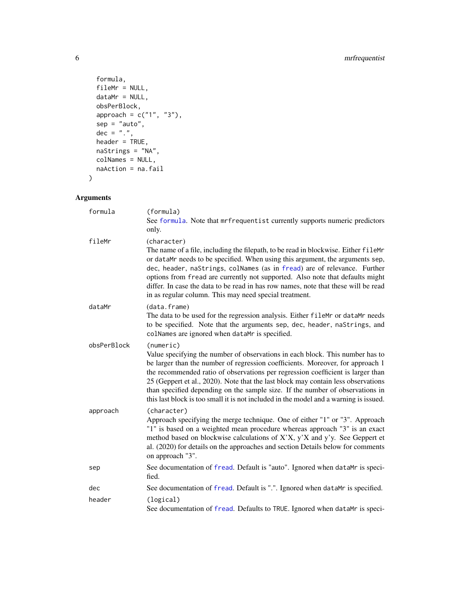```
formula,
 fileMr = NULL,
 dataMr = NULL,obsPerBlock,
 approach = c("1", "3"),
  sep = "auto",dec = "."header = TRUE,
 naStrings = "NA",
 colNames = NULL,
 naAction = na.fail
\mathcal{L}
```
#### Arguments

| formula     | (formula)<br>See formula. Note that mrfrequentist currently supports numeric predictors<br>only.                                                                                                                                                                                                                                                                                                                                                                                                                               |
|-------------|--------------------------------------------------------------------------------------------------------------------------------------------------------------------------------------------------------------------------------------------------------------------------------------------------------------------------------------------------------------------------------------------------------------------------------------------------------------------------------------------------------------------------------|
| fileMr      | (character)<br>The name of a file, including the filepath, to be read in blockwise. Either fileMr<br>or dataMr needs to be specified. When using this argument, the arguments sep,<br>dec, header, naStrings, colNames (as in fread) are of relevance. Further<br>options from fread are currently not supported. Also note that defaults might<br>differ. In case the data to be read in has row names, note that these will be read<br>in as regular column. This may need special treatment.                                |
| dataMr      | (data.frame)<br>The data to be used for the regression analysis. Either fileMr or dataMr needs<br>to be specified. Note that the arguments sep, dec, header, naStrings, and<br>colNames are ignored when dataMr is specified.                                                                                                                                                                                                                                                                                                  |
| obsPerBlock | (numeric)<br>Value specifying the number of observations in each block. This number has to<br>be larger than the number of regression coefficients. Moreover, for approach 1<br>the recommended ratio of observations per regression coefficient is larger than<br>25 (Geppert et al., 2020). Note that the last block may contain less observations<br>than specified depending on the sample size. If the number of observations in<br>this last block is too small it is not included in the model and a warning is issued. |
| approach    | (character)<br>Approach specifying the merge technique. One of either "1" or "3". Approach<br>"1" is based on a weighted mean procedure whereas approach "3" is an exact<br>method based on blockwise calculations of X'X, y'X and y'y. See Geppert et<br>al. (2020) for details on the approaches and section Details below for comments<br>on approach "3".                                                                                                                                                                  |
| sep         | See documentation of fread. Default is "auto". Ignored when dataMr is speci-<br>fied.                                                                                                                                                                                                                                                                                                                                                                                                                                          |
| dec         | See documentation of fread. Default is ".". Ignored when dataMr is specified.                                                                                                                                                                                                                                                                                                                                                                                                                                                  |
| header      | (logical)<br>See documentation of fread. Defaults to TRUE. Ignored when dataMr is speci-                                                                                                                                                                                                                                                                                                                                                                                                                                       |

<span id="page-5-0"></span>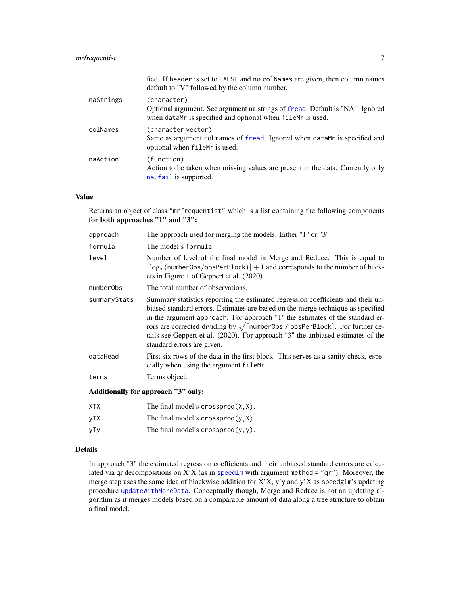#### <span id="page-6-0"></span>mrfrequentist 7

|           | fied. If header is set to FALSE and no colNames are given, then column names<br>default to "V" followed by the column number.                              |
|-----------|------------------------------------------------------------------------------------------------------------------------------------------------------------|
| naStrings | (character)<br>Optional argument. See argument na.strings of fread. Default is "NA". Ignored<br>when dataMr is specified and optional when fileMr is used. |
| colNames  | (character vector)<br>Same as argument col.names of fread. Ignored when dataMr is specified and<br>optional when fileMr is used.                           |
| naAction  | (function)<br>Action to be taken when missing values are present in the data. Currently only<br>na. fail is supported.                                     |

#### Value

Returns an object of class "mrfrequentist" which is a list containing the following components for both approaches "1" and "3":

| approach     | The approach used for merging the models. Either "1" or "3".                                                                                                                                                                                                                                                                                                                                                                                                                |  |
|--------------|-----------------------------------------------------------------------------------------------------------------------------------------------------------------------------------------------------------------------------------------------------------------------------------------------------------------------------------------------------------------------------------------------------------------------------------------------------------------------------|--|
| formula      | The model's formula.                                                                                                                                                                                                                                                                                                                                                                                                                                                        |  |
| level        | Number of level of the final model in Merge and Reduce. This is equal to<br>$\lceil \log_2(n \text{umberObs/obsPerBlock}) \rceil + 1$ and corresponds to the number of buck-<br>ets in Figure 1 of Geppert et al. (2020).                                                                                                                                                                                                                                                   |  |
| numberObs    | The total number of observations.                                                                                                                                                                                                                                                                                                                                                                                                                                           |  |
| summaryStats | Summary statistics reporting the estimated regression coefficients and their un-<br>biased standard errors. Estimates are based on the merge technique as specified<br>in the argument approach. For approach "1" the estimates of the standard er-<br>rors are corrected dividing by $\sqrt{\left[\text{numberObs}\right]}$ obsPerBlock]. For further de-<br>tails see Geppert et al. (2020). For approach "3" the unbiased estimates of the<br>standard errors are given. |  |
| dataHead     | First six rows of the data in the first block. This serves as a sanity check, espe-<br>cially when using the argument fileMr.                                                                                                                                                                                                                                                                                                                                               |  |
| terms        | Terms object.                                                                                                                                                                                                                                                                                                                                                                                                                                                               |  |
|              | Additionally for annroach "3" only:                                                                                                                                                                                                                                                                                                                                                                                                                                         |  |

#### Additionally for approach "3" only:

| XTX  | The final model's crossprod $(X, X)$ . |
|------|----------------------------------------|
| vTX. | The final model's crossprod $(y, X)$ . |
| уТу  | The final model's crossprod $(y, y)$ . |

#### Details

In approach "3" the estimated regression coefficients and their unbiased standard errors are calculated via qr decompositions on  $X'X$  (as in [speedlm](#page-0-0) with argument method = "qr"). Moreover, the merge step uses the same idea of blockwise addition for  $X'X$ ,  $y'y$  and  $y'X$  as speedglm's updating procedure [updateWithMoreData](#page-0-0). Conceptually though, Merge and Reduce is not an updating algorithm as it merges models based on a comparable amount of data along a tree structure to obtain a final model.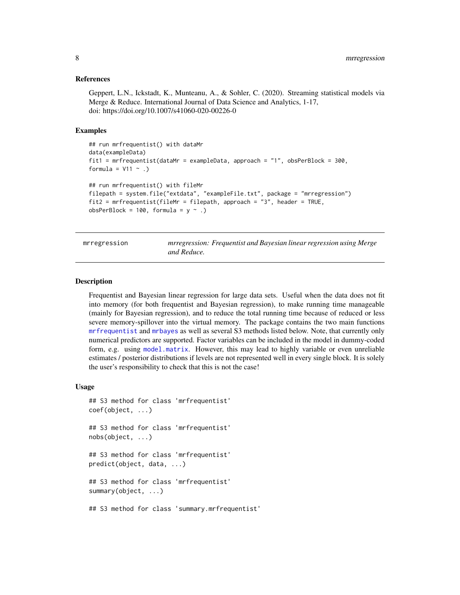#### <span id="page-7-0"></span>References

Geppert, L.N., Ickstadt, K., Munteanu, A., & Sohler, C. (2020). Streaming statistical models via Merge & Reduce. International Journal of Data Science and Analytics, 1-17, doi: https://doi.org/10.1007/s41060-020-00226-0

#### Examples

```
## run mrfrequentist() with dataMr
data(exampleData)
fit1 = mrfrequentist(dataMr = exampleData, approach = "1", obsPerBlock = 300,
formula = V11 ~ ~ ~ .)## run mrfrequentist() with fileMr
filepath = system.file("extdata", "exampleFile.txt", package = "mrregression")
fit2 = mrfrequentist(fileMr = filepath, approach = "3", header = TRUE,
obsPerBlock = 100, formula = y \sim .)
```

|  |  | mrregression |  |
|--|--|--------------|--|
|  |  |              |  |
|  |  |              |  |

mrregression *mrregression: Frequentist and Bayesian linear regression using Merge and Reduce.*

#### Description

Frequentist and Bayesian linear regression for large data sets. Useful when the data does not fit into memory (for both frequentist and Bayesian regression), to make running time manageable (mainly for Bayesian regression), and to reduce the total running time because of reduced or less severe memory-spillover into the virtual memory. The package contains the two main functions [mrfrequentist](#page-4-1) and [mrbayes](#page-1-1) as well as several S3 methods listed below. Note, that currently only numerical predictors are supported. Factor variables can be included in the model in dummy-coded form, e.g. using [model.matrix](#page-0-0). However, this may lead to highly variable or even unreliable estimates / posterior distributions if levels are not represented well in every single block. It is solely the user's responsibility to check that this is not the case!

#### Usage

```
## S3 method for class 'mrfrequentist'
coef(object, ...)
## S3 method for class 'mrfrequentist'
nobs(object, ...)
## S3 method for class 'mrfrequentist'
predict(object, data, ...)
## S3 method for class 'mrfrequentist'
summary(object, ...)
## S3 method for class 'summary.mrfrequentist'
```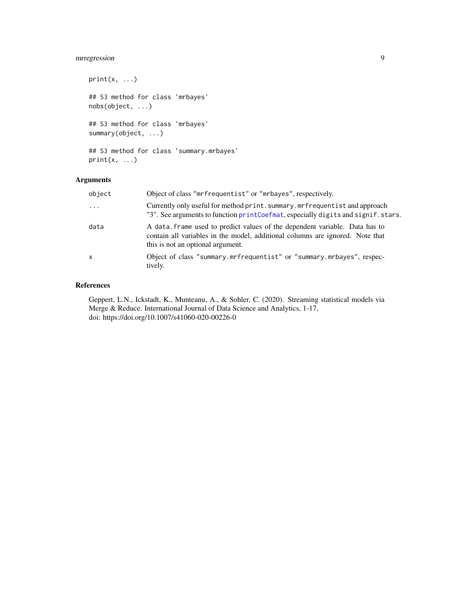#### <span id="page-8-0"></span>mrregression 9

```
print(x, \ldots)## S3 method for class 'mrbayes'
nobs(object, ...)
## S3 method for class 'mrbayes'
summary(object, ...)
```

```
## S3 method for class 'summary.mrbayes'
print(x, \ldots)
```
#### Arguments

| object       | Object of class "mrfrequentist" or "mrbayes", respectively.                                                                                                                                      |
|--------------|--------------------------------------------------------------------------------------------------------------------------------------------------------------------------------------------------|
| $\ddots$     | Currently only useful for method print. summary. mrfrequentist and approach<br>"3". See arguments to function printCoefmat, especially digits and signif.stars.                                  |
| data         | A data frame used to predict values of the dependent variable. Data has to<br>contain all variables in the model, additional columns are ignored. Note that<br>this is not an optional argument. |
| $\mathsf{x}$ | Object of class "summary.mrfrequentist" or "summary.mrbayes", respec-<br>tively.                                                                                                                 |

#### References

Geppert, L.N., Ickstadt, K., Munteanu, A., & Sohler, C. (2020). Streaming statistical models via Merge & Reduce. International Journal of Data Science and Analytics, 1-17, doi: https://doi.org/10.1007/s41060-020-00226-0